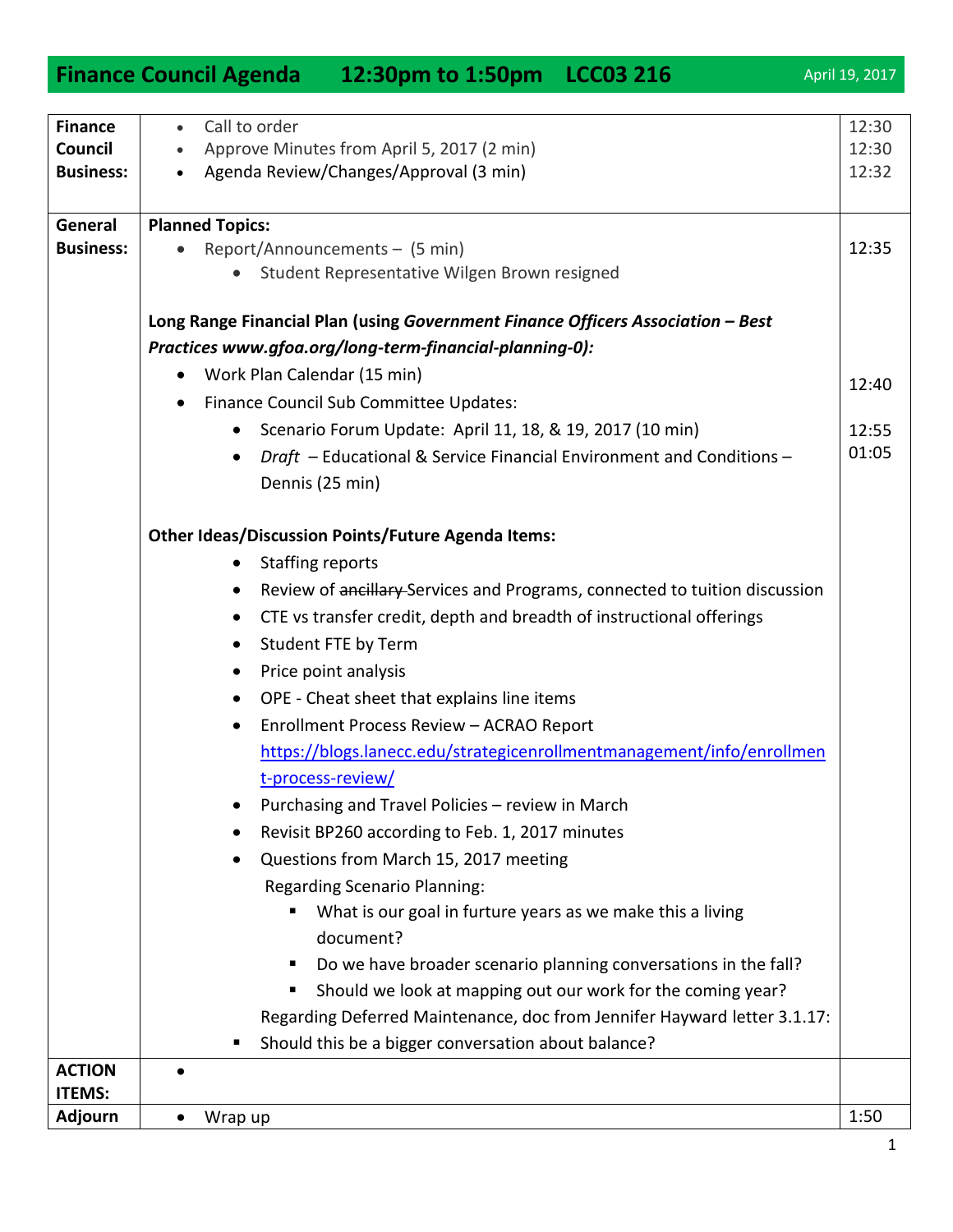|                                               | Finance Council Agenda 12:30pm to 1:50pm LCC03 216                                                                                                                                                                                                                                                                                                                                                                                                                                                                                                                                                                                                                                                                                                                                                                                                                                                                                                                                                                                                                                                                                 | April 19, 2017          |
|-----------------------------------------------|------------------------------------------------------------------------------------------------------------------------------------------------------------------------------------------------------------------------------------------------------------------------------------------------------------------------------------------------------------------------------------------------------------------------------------------------------------------------------------------------------------------------------------------------------------------------------------------------------------------------------------------------------------------------------------------------------------------------------------------------------------------------------------------------------------------------------------------------------------------------------------------------------------------------------------------------------------------------------------------------------------------------------------------------------------------------------------------------------------------------------------|-------------------------|
| <b>Finance</b><br>Council<br><b>Business:</b> | Call to order<br>$\bullet$<br>Approve Minutes from April 5, 2017 (2 min)<br>Agenda Review/Changes/Approval (3 min)<br>$\bullet$                                                                                                                                                                                                                                                                                                                                                                                                                                                                                                                                                                                                                                                                                                                                                                                                                                                                                                                                                                                                    | 12:30<br>12:30<br>12:32 |
| General<br><b>Business:</b>                   | <b>Planned Topics:</b><br>Report/Announcements - (5 min)<br>Student Representative Wilgen Brown resigned                                                                                                                                                                                                                                                                                                                                                                                                                                                                                                                                                                                                                                                                                                                                                                                                                                                                                                                                                                                                                           | 12:35                   |
|                                               | Long Range Financial Plan (using Government Finance Officers Association - Best<br>Practices www.gfoa.org/long-term-financial-planning-0):<br>Work Plan Calendar (15 min)<br>٠<br>Finance Council Sub Committee Updates:<br>٠<br>Scenario Forum Update: April 11, 18, & 19, 2017 (10 min)<br>$\bullet$<br>Draft - Educational & Service Financial Environment and Conditions -<br>$\bullet$<br>Dennis (25 min)                                                                                                                                                                                                                                                                                                                                                                                                                                                                                                                                                                                                                                                                                                                     | 12:40<br>12:55<br>01:05 |
| <b>ACTION</b>                                 | <b>Other Ideas/Discussion Points/Future Agenda Items:</b><br><b>Staffing reports</b><br>$\bullet$<br>Review of ancillary-Services and Programs, connected to tuition discussion<br>$\bullet$<br>CTE vs transfer credit, depth and breadth of instructional offerings<br>$\bullet$<br>Student FTE by Term<br>$\bullet$<br>Price point analysis<br>$\bullet$<br>OPE - Cheat sheet that explains line items<br>$\bullet$<br>Enrollment Process Review - ACRAO Report<br>$\bullet$<br>https://blogs.lanecc.edu/strategicenrollmentmanagement/info/enrollmen<br>t-process-review/<br>Purchasing and Travel Policies - review in March<br>Revisit BP260 according to Feb. 1, 2017 minutes<br>Questions from March 15, 2017 meeting<br><b>Regarding Scenario Planning:</b><br>What is our goal in furture years as we make this a living<br>٠<br>document?<br>Do we have broader scenario planning conversations in the fall?<br>ш<br>Should we look at mapping out our work for the coming year?<br>п<br>Regarding Deferred Maintenance, doc from Jennifer Hayward letter 3.1.17:<br>Should this be a bigger conversation about balance? |                         |
| <b>ITEMS:</b><br><b>Adjourn</b>               | $\bullet$                                                                                                                                                                                                                                                                                                                                                                                                                                                                                                                                                                                                                                                                                                                                                                                                                                                                                                                                                                                                                                                                                                                          | 1:50                    |
|                                               | Wrap up                                                                                                                                                                                                                                                                                                                                                                                                                                                                                                                                                                                                                                                                                                                                                                                                                                                                                                                                                                                                                                                                                                                            |                         |